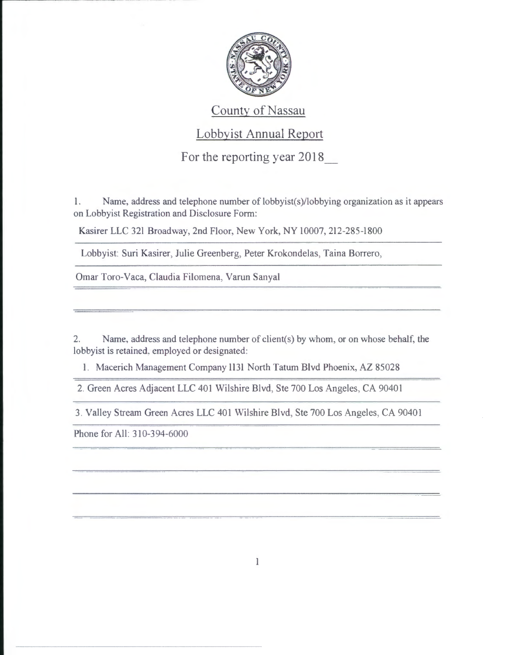

## County of Nassau

## Lobbyist Annual Report

For the reporting year 2018\_

1. Name, address and telephone number of lobbyist(s)/lobbying organization as it appears on Lobbyist Registration and Disclosure Form:

Kasirer LLC 321 Broadway, 2nd Floor, New York, NY 10007,212-285-1800

Lobbyist: Suri Kasirer, Julie Greenberg, Peter Krokondelas, Taina Borrero,

Omar Toro-Vaca, Claudia Filomena, Varun Sanyal

2. Name, address and telephone number of client(s) by whom, or on whose behalf, the lobbyist is retained. employed or designated:

1. Macerich Management Company 1131 North Tatum Blvd Phoenix, AZ 85028

2. Green Acres Adjacent LLC 401 Wilshire Blvd, Ste 700 Los Angeles, CA 90401

3. Valley Stream Green Acres LLC 401 Wilshire Blvd, Ste 700 Los Angeles, CA 90401

Phone for All: 310-394-6000

..-------- --- -- -- --- -- ----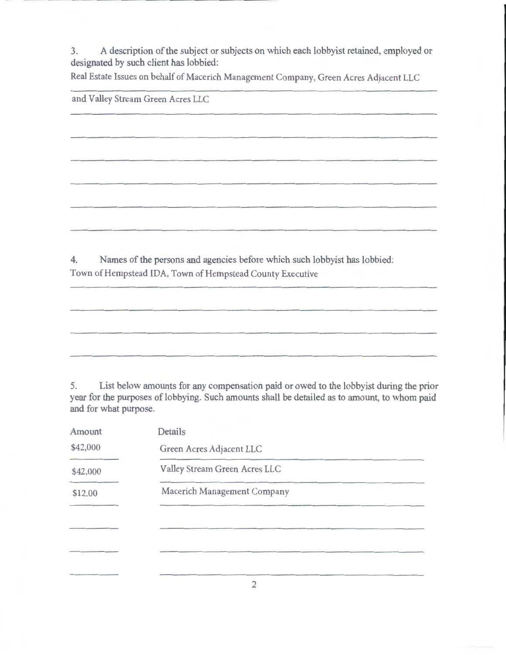3. A description of the subject or subjects on which each lobbyist retained, employed or designated by such client has lobbied:

Real Estate Issues on behalf of Macerich Management Company, Green Acres Adjacent LLC

|    | and Valley Stream Green Acres LLC                                         |
|----|---------------------------------------------------------------------------|
|    |                                                                           |
|    |                                                                           |
|    |                                                                           |
|    |                                                                           |
|    |                                                                           |
| 4. | Names of the persons and agencies before which such lobbyist has lobbied: |
|    | Town of Hempstead IDA, Town of Hempstead County Executive                 |

5. List below amounts for any compensation paid or owed to the lobbyist during the prior year for the purposes of lobbying. Such amounts shall be detailed as to amount, to whom paid and for what purpose.

| Amount   | Details                       |
|----------|-------------------------------|
| \$42,000 | Green Acres Adjacent LLC      |
| \$42,000 | Valley Stream Green Acres LLC |
| \$12.00  | Macerich Management Company   |
|          |                               |
|          |                               |
|          |                               |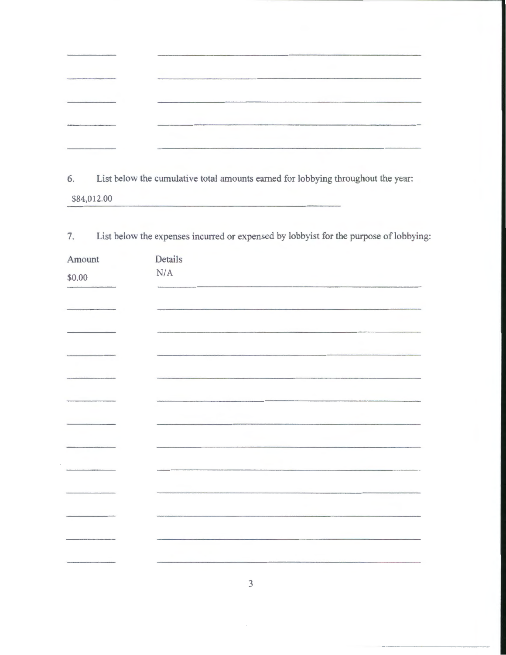the cumulative total amounts earned for lobbying throughout the cumulative total amounts earned for lobbying throughout the states. \$84,012.00

| 7.     | List below the expenses incurred or expensed by lobbyist for the purpose of lobbying:                                   |
|--------|-------------------------------------------------------------------------------------------------------------------------|
| Amount | Details                                                                                                                 |
| \$0.00 | N/A                                                                                                                     |
|        |                                                                                                                         |
|        |                                                                                                                         |
|        |                                                                                                                         |
|        | the contract of the contract of the contract of the contract of the contract of the contract of the contract of         |
|        |                                                                                                                         |
|        |                                                                                                                         |
|        |                                                                                                                         |
|        |                                                                                                                         |
|        |                                                                                                                         |
|        |                                                                                                                         |
|        | <b>Constitution of the constitution of the constitution of the constitution of the constitution of the constitution</b> |
|        |                                                                                                                         |
|        |                                                                                                                         |